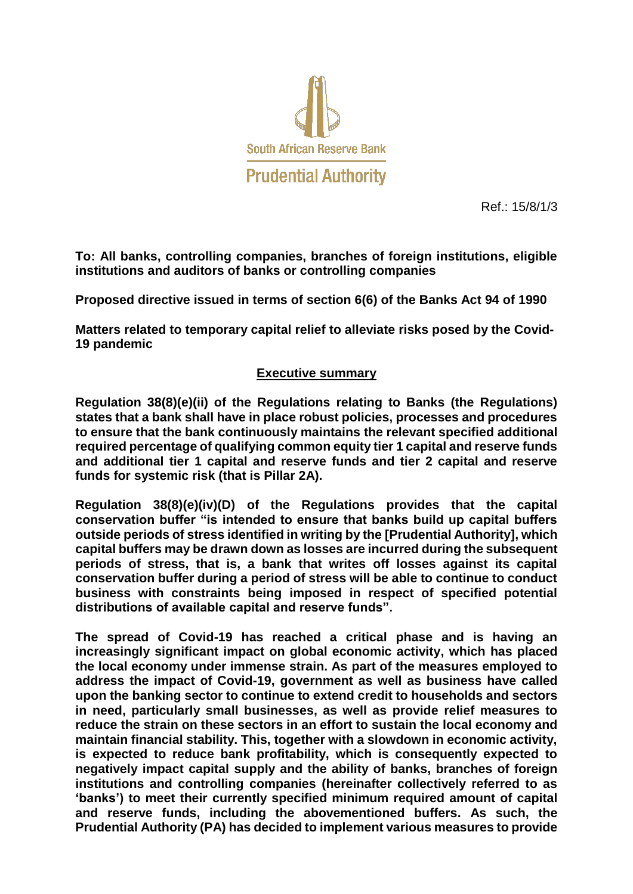

Ref.: 15/8/1/3

**To: All banks, controlling companies, branches of foreign institutions, eligible institutions and auditors of banks or controlling companies**

**Proposed directive issued in terms of section 6(6) of the Banks Act 94 of 1990**

**Matters related to temporary capital relief to alleviate risks posed by the Covid-19 pandemic**

## **Executive summary**

**Regulation 38(8)(e)(ii) of the Regulations relating to Banks (the Regulations) states that a bank shall have in place robust policies, processes and procedures to ensure that the bank continuously maintains the relevant specified additional required percentage of qualifying common equity tier 1 capital and reserve funds and additional tier 1 capital and reserve funds and tier 2 capital and reserve funds for systemic risk (that is Pillar 2A).**

**Regulation 38(8)(e)(iv)(D) of the Regulations provides that the capital conservation buffer "is intended to ensure that banks build up capital buffers outside periods of stress identified in writing by the [Prudential Authority], which capital buffers may be drawn down as losses are incurred during the subsequent periods of stress, that is, a bank that writes off losses against its capital conservation buffer during a period of stress will be able to continue to conduct business with constraints being imposed in respect of specified potential distributions of available capital and reserve funds".**

**The spread of Covid-19 has reached a critical phase and is having an increasingly significant impact on global economic activity, which has placed the local economy under immense strain. As part of the measures employed to address the impact of Covid-19, government as well as business have called upon the banking sector to continue to extend credit to households and sectors in need, particularly small businesses, as well as provide relief measures to reduce the strain on these sectors in an effort to sustain the local economy and maintain financial stability. This, together with a slowdown in economic activity, is expected to reduce bank profitability, which is consequently expected to negatively impact capital supply and the ability of banks, branches of foreign institutions and controlling companies (hereinafter collectively referred to as 'banks') to meet their currently specified minimum required amount of capital and reserve funds, including the abovementioned buffers. As such, the Prudential Authority (PA) has decided to implement various measures to provide**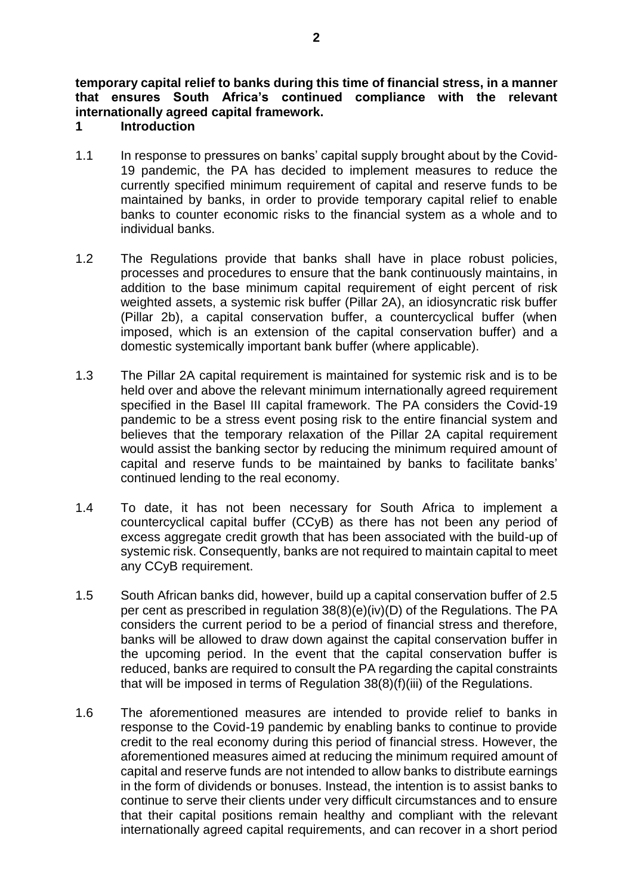**temporary capital relief to banks during this time of financial stress, in a manner that ensures South Africa's continued compliance with the relevant internationally agreed capital framework.** 

## **1 Introduction**

- 1.1 In response to pressures on banks' capital supply brought about by the Covid-19 pandemic, the PA has decided to implement measures to reduce the currently specified minimum requirement of capital and reserve funds to be maintained by banks, in order to provide temporary capital relief to enable banks to counter economic risks to the financial system as a whole and to individual banks.
- 1.2 The Regulations provide that banks shall have in place robust policies, processes and procedures to ensure that the bank continuously maintains, in addition to the base minimum capital requirement of eight percent of risk weighted assets, a systemic risk buffer (Pillar 2A), an idiosyncratic risk buffer (Pillar 2b), a capital conservation buffer, a countercyclical buffer (when imposed, which is an extension of the capital conservation buffer) and a domestic systemically important bank buffer (where applicable).
- 1.3 The Pillar 2A capital requirement is maintained for systemic risk and is to be held over and above the relevant minimum internationally agreed requirement specified in the Basel III capital framework. The PA considers the Covid-19 pandemic to be a stress event posing risk to the entire financial system and believes that the temporary relaxation of the Pillar 2A capital requirement would assist the banking sector by reducing the minimum required amount of capital and reserve funds to be maintained by banks to facilitate banks' continued lending to the real economy.
- 1.4 To date, it has not been necessary for South Africa to implement a countercyclical capital buffer (CCyB) as there has not been any period of excess aggregate credit growth that has been associated with the build-up of systemic risk. Consequently, banks are not required to maintain capital to meet any CCyB requirement.
- 1.5 South African banks did, however, build up a capital conservation buffer of 2.5 per cent as prescribed in regulation 38(8)(e)(iv)(D) of the Regulations. The PA considers the current period to be a period of financial stress and therefore, banks will be allowed to draw down against the capital conservation buffer in the upcoming period. In the event that the capital conservation buffer is reduced, banks are required to consult the PA regarding the capital constraints that will be imposed in terms of Regulation 38(8)(f)(iii) of the Regulations.
- 1.6 The aforementioned measures are intended to provide relief to banks in response to the Covid-19 pandemic by enabling banks to continue to provide credit to the real economy during this period of financial stress. However, the aforementioned measures aimed at reducing the minimum required amount of capital and reserve funds are not intended to allow banks to distribute earnings in the form of dividends or bonuses. Instead, the intention is to assist banks to continue to serve their clients under very difficult circumstances and to ensure that their capital positions remain healthy and compliant with the relevant internationally agreed capital requirements, and can recover in a short period